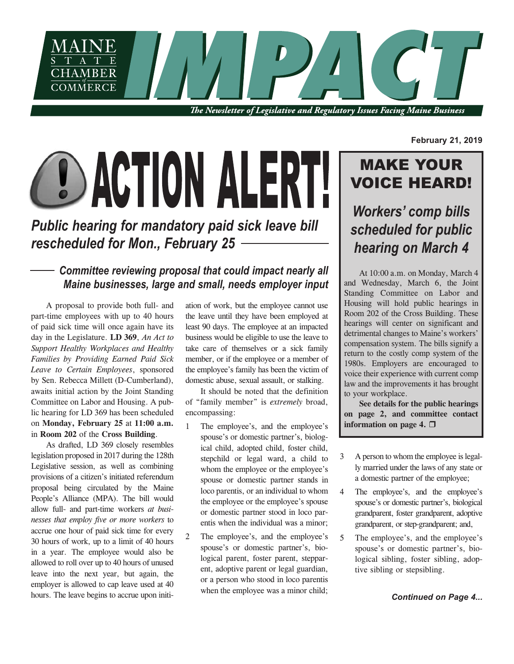

The Newsletter of Legislative and Regulatory Issues Facing Maine Business

# **DACTION ALERT!**

# *Public hearing for mandatory paid sick leave bill rescheduled for Mon., February 25*

# *Committee reviewing proposal that could impact nearly all Maine businesses, large and small, needs employer input*

A proposal to provide both full- and part-time employees with up to 40 hours of paid sick time will once again have its day in the Legislature. **LD 369**, *An Act to Support Healthy Workplaces and Healthy Families by Providing Earned Paid Sick Leave to Certain Employees*, sponsored by Sen. Rebecca Millett (D-Cumberland), awaits initial action by the Joint Standing Committee on Labor and Housing. A public hearing for LD 369 has been scheduled on **Monday, February 25** at **11:00 a.m.** in **Room 202** of the **Cross Building**.

As drafted, LD 369 closely resembles legislation proposed in 2017 during the 128th Legislative session, as well as combining provisions of a citizen's initiated referendum proposal being circulated by the Maine People's Alliance (MPA). The bill would allow full- and part-time workers *at businesses that employ five or more workers* to accrue one hour of paid sick time for every 30 hours of work, up to a limit of 40 hours in a year. The employee would also be allowed to roll over up to 40 hours of unused leave into the next year, but again, the employer is allowed to cap leave used at 40 hours. The leave begins to accrue upon initi-<br> **Continued on Page 4... Continued on Page 4...** 

ation of work, but the employee cannot use the leave until they have been employed at least 90 days. The employee at an impacted business would be eligible to use the leave to take care of themselves or a sick family member, or if the employee or a member of the employee's family has been the victim of domestic abuse, sexual assault, or stalking.

It should be noted that the definition of "family member" is *extremely* broad, encompassing:

- 1 The employee's, and the employee's spouse's or domestic partner's, biological child, adopted child, foster child, stepchild or legal ward, a child to whom the employee or the employee's spouse or domestic partner stands in loco parentis, or an individual to whom the employee or the employee's spouse or domestic partner stood in loco parentis when the individual was a minor;
- 2 The employee's, and the employee's spouse's or domestic partner's, biological parent, foster parent, stepparent, adoptive parent or legal guardian, or a person who stood in loco parentis when the employee was a minor child;

**February 21, 2019**

# MAKE YOUR VOICE HEARD!

*Workers' comp bills scheduled for public hearing on March 4*

At 10:00 a.m. on Monday, March 4 and Wednesday, March 6, the Joint Standing Committee on Labor and Housing will hold public hearings in Room 202 of the Cross Building. These hearings will center on significant and detrimental changes to Maine's workers' compensation system. The bills signify a return to the costly comp system of the 1980s. Employers are encouraged to voice their experience with current comp law and the improvements it has brought to your workplace.

**See details for the public hearings on page 2, and committee contact information** on page 4.  $\Box$ 

- 3 A person to whom the employee islegally married under the laws of any state or a domestic partner of the employee;
- 4 The employee's, and the employee's spouse's or domestic partner's, biological grandparent, foster grandparent, adoptive grandparent, or step-grandparent; and,
- 5 The employee's, and the employee's spouse's or domestic partner's, biological sibling, foster sibling, adoptive sibling or stepsibling.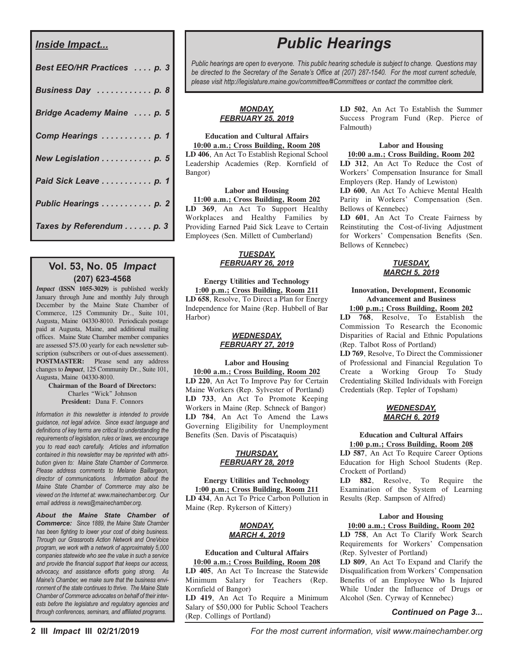## *Inside Impact...*

| Best EEO/HR Practices  p. 3 |
|-----------------------------|
| Business Day  p. 8          |
| Bridge Academy Maine  p. 5  |
| Comp Hearings  p. 1         |
| New Legislation p. 5        |
| Paid Sick Leave  p. 1       |
| Public Hearings p. 2        |
| Taxes by Referendum p. 3    |

## **Vol. 53, No. 05** *Impact* **(207) 623-4568**

*Impact* **(ISSN 1055-3029)** is published weekly January through June and monthly July through December by the Maine State Chamber of Commerce, 125 Community Dr., Suite 101, Augusta, Maine 04330-8010. Periodicals postage paid at Augusta, Maine, and additional mailing offices. Maine State Chamber member companies are assessed \$75.00 yearly for each newsletter subscription (subscribers or out-of-dues assessement). **POSTMASTER:** Please send any address changes to *Impact*, 125 Community Dr., Suite 101, Augusta, Maine 04330-8010.

**Chairman of the Board of Directors:** Charles "Wick" Johnson **President:** Dana F. Connors

*Information in this newsletter is intended to provide guidance, not legal advice. Since exact language and definitions of key terms are critical to understanding the requirements of legislation, rules or laws, we encourage you to read each carefully. Articles and information contained in this newsletter may be reprinted with attribution given to: Maine State Chamber of Commerce. Please address comments to Melanie Baillargeon, director of communications. Information about the Maine State Chamber of Commerce may also be viewed on the Internet at: www.mainechamber.org. Our email address is news@mainechamber.org.*

*About the Maine State Chamber of Commerce: Since 1889, the Maine State Chamber has been fighting to lower your cost of doing business. Through our Grassroots Action Network and OneVoice program, we work with a network of approximately 5,000 companies statewide who see the value in such a service and provide the financial support that keeps our access, advocacy, and assistance efforts going strong. As Maine's Chamber, we make sure that the business environment of the state continues to thrive. The Maine State Chamber of Commerce advocates on behalf of their interests before the legislature and regulatory agencies and through conferences, seminars, and affiliated programs.*

# *Public Hearings*

*Public hearings are open to everyone. This public hearing schedule is subject to change. Questions may be directed to the Secretary of the Senate's Office at (207) 287-1540. For the most current schedule, please visit http://legislature.maine.gov/committee/#Committees or contact the committee clerk.*

## *MONDAY, FEBRUARY 25, 2019*

#### **Education and Cultural Affairs 10:00 a.m.; Cross Building, Room 208 LD 406**, An Act To Establish Regional School Leadership Academies (Rep. Kornfield of Bangor)

#### **Labor and Housing**

**11:00 a.m.; Cross Building, Room 202 LD 369**, An Act To Support Healthy Workplaces and Healthy Families by Providing Earned Paid Sick Leave to Certain Employees (Sen. Millett of Cumberland)

### *TUESDAY, FEBRUARY 26, 2019*

#### **Energy Utilities and Technology 1:00 p.m.; Cross Building, Room 211 LD 658**, Resolve, To Direct a Plan for Energy Independence for Maine (Rep. Hubbell of Bar Harbor)

## *WEDNESDAY, FEBRUARY 27, 2019*

### **Labor and Housing 10:00 a.m.; Cross Building, Room 202**

**LD 220**, An Act To Improve Pay for Certain Maine Workers (Rep. Sylvester of Portland) **LD 733**, An Act To Promote Keeping Workers in Maine (Rep. Schneck of Bangor) **LD 784**, An Act To Amend the Laws Governing Eligibility for Unemployment Benefits (Sen. Davis of Piscataquis)

### *THURSDAY, FEBRUARY 28, 2019*

**Energy Utilities and Technology 1:00 p.m.; Cross Building, Room 211 LD 434**, An Act To Price Carbon Pollution in Maine (Rep. Rykerson of Kittery)

## *MONDAY, MARCH 4, 2019*

## **Education and Cultural Affairs**

**10:00 a.m.; Cross Building, Room 208 LD 405**, An Act To Increase the Statewide Minimum Salary for Teachers (Rep. Kornfield of Bangor)

**LD 419**, An Act To Require a Minimum Salary of \$50,000 for Public School Teachers (Rep. Collings of Portland)

**LD 502**, An Act To Establish the Summer Success Program Fund (Rep. Pierce of Falmouth)

### **Labor and Housing 10:00 a.m.; Cross Building, Room 202**

**LD 312**, An Act To Reduce the Cost of Workers' Compensation Insurance for Small Employers (Rep. Handy of Lewiston) **LD 600**, An Act To Achieve Mental Health

Parity in Workers' Compensation (Sen. Bellows of Kennebec)

**LD 601**, An Act To Create Fairness by Reinstituting the Cost-of-living Adjustment for Workers' Compensation Benefits (Sen. Bellows of Kennebec)

## *TUESDAY, MARCH 5, 2019*

## **Innovation, Development, Economic Advancement and Business**

**1:00 p.m.; Cross Building, Room 202 LD 768**, Resolve, To Establish the Commission To Research the Economic Disparities of Racial and Ethnic Populations (Rep. Talbot Ross of Portland)

**LD 769**, Resolve, To Direct the Commissioner of Professional and Financial Regulation To Create a Working Group To Study Credentialing Skilled Individuals with Foreign Credentials (Rep. Tepler of Topsham)

### *WEDNESDAY, MARCH 6, 2019*

#### **Education and Cultural Affairs 1:00 p.m.; Cross Building, Room 208**

**LD 587**, An Act To Require Career Options Education for High School Students (Rep. Crockett of Portland)

**LD 882**, Resolve, To Require the Examination of the System of Learning Results (Rep. Sampson of Alfred)

## **Labor and Housing**

## **10:00 a.m.; Cross Building, Room 202**

**LD 758**, An Act To Clarify Work Search Requirements for Workers' Compensation (Rep. Sylvester of Portland)

**LD 809**, An Act To Expand and Clarify the Disqualification from Workers' Compensation Benefits of an Employee Who Is Injured While Under the Influence of Drugs or Alcohol (Sen. Cyrway of Kennebec)

## *Continued on Page 3...*

**2 III** *Impact* **III 02/21/2019** *For the most current information, visit www.mainechamber.org*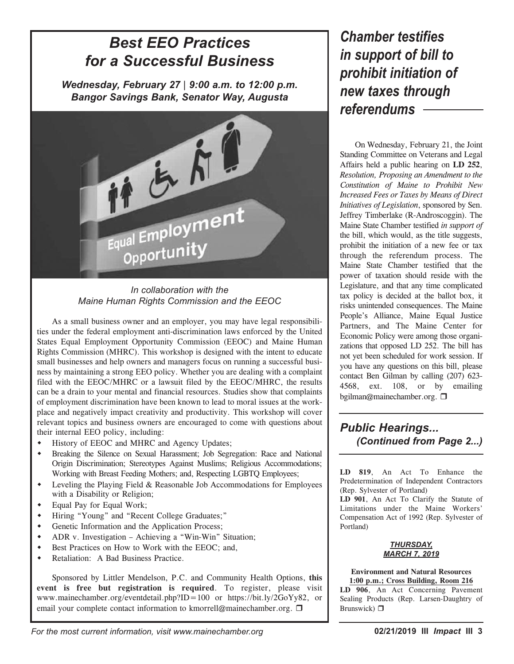# *Best EEO Practices for a Successful Business*

*Wednesday, February 27* | *9:00 a.m. to 12:00 p.m. Bangor Savings Bank, Senator Way, Augusta*



*In collaboration with the Maine Human Rights Commission and the EEOC*

As a small business owner and an employer, you may have legal responsibilities under the federal employment anti-discrimination laws enforced by the United States Equal Employment Opportunity Commission (EEOC) and Maine Human Rights Commission (MHRC). This workshop is designed with the intent to educate small businesses and help owners and managers focus on running a successful business by maintaining a strong EEO policy. Whether you are dealing with a complaint filed with the EEOC/MHRC or a lawsuit filed by the EEOC/MHRC, the results can be a drain to your mental and financial resources. Studies show that complaints of employment discrimination have been known to lead to moral issues at the workplace and negatively impact creativity and productivity. This workshop will cover relevant topics and business owners are encouraged to come with questions about their internal EEO policy, including:

- $\bullet$  History of EEOC and MHRC and Agency Updates;
- w Breaking the Silence on Sexual Harassment; Job Segregation: Race and National Origin Discrimination; Stereotypes Against Muslims; Religious Accommodations; Working with Breast Feeding Mothers; and, Respecting LGBTQ Employees;
- $\bullet$  Leveling the Playing Field & Reasonable Job Accommodations for Employees with a Disability or Religion;
- Equal Pay for Equal Work;
- w Hiring "Young" and "Recent College Graduates;"
- Genetic Information and the Application Process;
- $\triangleleft$  ADR v. Investigation Achieving a "Win-Win" Situation;
- Best Practices on How to Work with the EEOC; and,
- w Retaliation: A Bad Business Practice.

Sponsored by Littler Mendelson, P.C. and Community Health Options, **this event is free but registration is required**. To register, please visit www.mainechamber.org/eventdetail.php?ID=100 or https://bit.ly/2GoYy82, or email your complete contact information to kmorrell@mainechamber.org.  $\Box$ 

# *Chamber testifies in support of bill to prohibit initiation of new taxes through referendums*

On Wednesday, February 21, the Joint Standing Committee on Veterans and Legal Affairs held a public hearing on **LD 252**, *Resolution, Proposing an Amendment to the Constitution of Maine to Prohibit New Increased Fees or Taxes by Means of Direct Initiatives of Legislation*, sponsored by Sen. Jeffrey Timberlake (R-Androscoggin). The Maine State Chamber testified *in support of* the bill, which would, as the title suggests, prohibit the initiation of a new fee or tax through the referendum process. The Maine State Chamber testified that the power of taxation should reside with the Legislature, and that any time complicated tax policy is decided at the ballot box, it risks unintended consequences. The Maine People's Alliance, Maine Equal Justice Partners, and The Maine Center for Economic Policy were among those organizations that opposed LD 252. The bill has not yet been scheduled for work session. If you have any questions on this bill, please contact Ben Gilman by calling (207) 623- 4568, ext. 108, or by emailing bgilman@mainechamber.org.  $\Box$ 

# *Public Hearings... (Continued from Page 2...)*

**LD 819**, An Act To Enhance the Predetermination of Independent Contractors (Rep. Sylvester of Portland)

**LD 901**, An Act To Clarify the Statute of Limitations under the Maine Workers' Compensation Act of 1992 (Rep. Sylvester of Portland)



**Environment and Natural Resources 1:00 p.m.; Cross Building, Room 216 LD 906**, An Act Concerning Pavement Sealing Products (Rep. Larsen-Daughtry of Brunswick)  $\Box$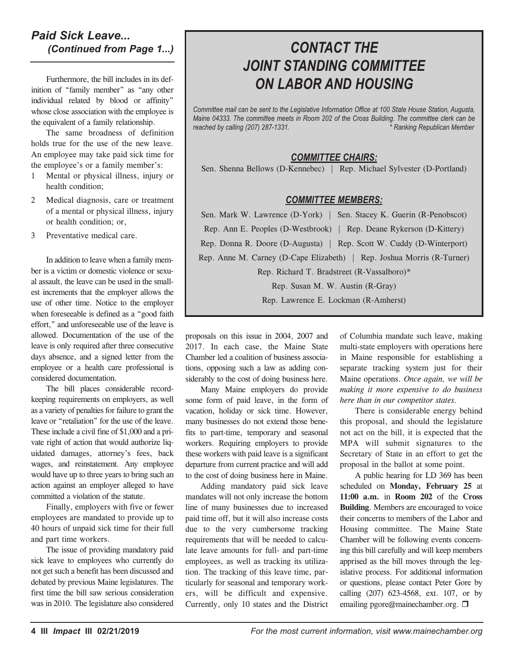## *Paid Sick Leave... (Continued from Page 1...)*

Furthermore, the bill includes in its definition of "family member" as "any other individual related by blood or affinity" whose close association with the employee is the equivalent of a family relationship.

The same broadness of definition holds true for the use of the new leave. An employee may take paid sick time for the employee's or a family member's:

- 1 Mental or physical illness, injury or health condition;
- 2 Medical diagnosis, care or treatment of a mental or physical illness, injury or health condition; or,
- 3 Preventative medical care.

In addition to leave when a family member is a victim or domestic violence or sexual assault, the leave can be used in the smallest increments that the employer allows the use of other time. Notice to the employer when foreseeable is defined as a "good faith effort," and unforeseeable use of the leave is allowed. Documentation of the use of the leave is only required after three consecutive days absence, and a signed letter from the employee or a health care professional is considered documentation.

The bill places considerable recordkeeping requirements on employers, as well as a variety of penalties for failure to grant the leave or "retaliation" for the use of the leave. These include a civil fine of \$1,000 and a private right of action that would authorize liquidated damages, attorney's fees, back wages, and reinstatement. Any employee would have up to three years to bring such an action against an employer alleged to have committed a violation of the statute.

Finally, employers with five or fewer employees are mandated to provide up to 40 hours of unpaid sick time for their full and part time workers.

The issue of providing mandatory paid sick leave to employees who currently do not get such a benefit has been discussed and debated by previous Maine legislatures. The first time the bill saw serious consideration was in 2010. The legislature also considered

# *CONTACT THE JOINT STANDING COMMITTEE ON LABOR AND HOUSING*

*Committee mail can be sent to the Legislative Information Office at 100 State House Station, Augusta, Maine 04333. The committee meets in Room 202 of the Cross Building. The committee clerk can be reached by calling (207) 287-1331. \* Ranking Republican Member*

## *COMMITTEE CHAIRS:*

Sen. Shenna Bellows (D-Kennebec) | Rep. Michael Sylvester (D-Portland)

## *COMMITTEE MEMBERS:*

Sen. Mark W. Lawrence (D-York) | Sen. Stacey K. Guerin (R-Penobscot)

Rep. Ann E. Peoples (D-Westbrook) | Rep. Deane Rykerson (D-Kittery)

Rep. Donna R. Doore (D-Augusta) | Rep. Scott W. Cuddy (D-Winterport)

Rep. Anne M. Carney (D-Cape Elizabeth) | Rep. Joshua Morris (R-Turner)

Rep. Richard T. Bradstreet (R-Vassalboro)\*

Rep. Susan M. W. Austin (R-Gray)

Rep. Lawrence E. Lockman (R-Amherst)

proposals on this issue in 2004, 2007 and 2017. In each case, the Maine State Chamber led a coalition of business associations, opposing such a law as adding considerably to the cost of doing business here.

Many Maine employers do provide some form of paid leave, in the form of vacation, holiday or sick time. However, many businesses do not extend those benefits to part-time, temporary and seasonal workers. Requiring employers to provide these workers with paid leave is a significant departure from current practice and will add to the cost of doing business here in Maine.

Adding mandatory paid sick leave mandates will not only increase the bottom line of many businesses due to increased paid time off, but it will also increase costs due to the very cumbersome tracking requirements that will be needed to calculate leave amounts for full- and part-time employees, as well as tracking its utilization. The tracking of this leave time, particularly for seasonal and temporary workers, will be difficult and expensive. Currently, only 10 states and the District

of Columbia mandate such leave, making multi-state employers with operations here in Maine responsible for establishing a separate tracking system just for their Maine operations. *Once again, we will be making it more expensive to do business here than in our competitor states.*

There is considerable energy behind this proposal, and should the legislature not act on the bill, it is expected that the MPA will submit signatures to the Secretary of State in an effort to get the proposal in the ballot at some point.

A public hearing for LD 369 has been scheduled on **Monday, February 25** at **11:00 a.m.** in **Room 202** of the **Cross Building**. Members are encouraged to voice their concerns to members of the Labor and Housing committee. The Maine State Chamber will be following events concerning this bill carefully and will keep members apprised as the bill moves through the legislative process. For additional information or questions, please contact Peter Gore by calling (207) 623-4568, ext. 107, or by emailing pgore@mainechamber.org.  $\Box$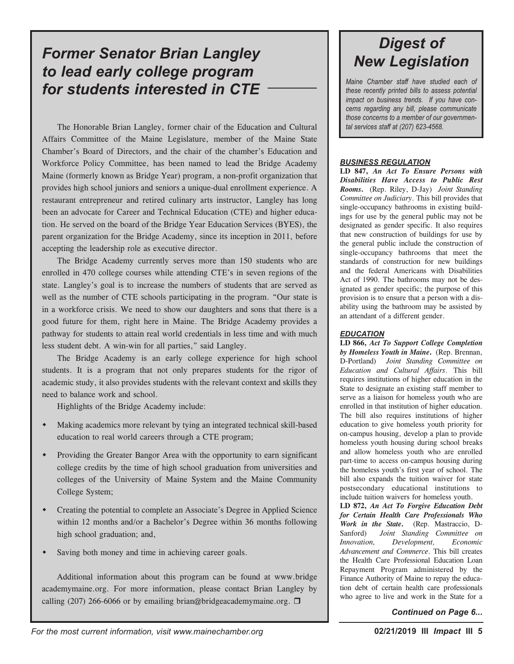# *Former Senator Brian Langley to lead early college program for students interested in CTE*

The Honorable Brian Langley, former chair of the Education and Cultural Affairs Committee of the Maine Legislature, member of the Maine State Chamber's Board of Directors, and the chair of the chamber's Education and Workforce Policy Committee, has been named to lead the Bridge Academy Maine (formerly known as Bridge Year) program, a non-profit organization that provides high school juniors and seniors a unique-dual enrollment experience. A restaurant entrepreneur and retired culinary arts instructor, Langley has long been an advocate for Career and Technical Education (CTE) and higher education. He served on the board of the Bridge Year Education Services (BYES), the parent organization for the Bridge Academy, since its inception in 2011, before accepting the leadership role as executive director.

The Bridge Academy currently serves more than 150 students who are enrolled in 470 college courses while attending CTE's in seven regions of the state. Langley's goal is to increase the numbers of students that are served as well as the number of CTE schools participating in the program. "Our state is in a workforce crisis. We need to show our daughters and sons that there is a good future for them, right here in Maine. The Bridge Academy provides a pathway for students to attain real world credentials in less time and with much less student debt. A win-win for all parties," said Langley.

The Bridge Academy is an early college experience for high school students. It is a program that not only prepares students for the rigor of academic study, it also provides students with the relevant context and skills they need to balance work and school.

Highlights of the Bridge Academy include:

- w Making academics more relevant by tying an integrated technical skill-based education to real world careers through a CTE program;
- Providing the Greater Bangor Area with the opportunity to earn significant college credits by the time of high school graduation from universities and colleges of the University of Maine System and the Maine Community College System;
- w Creating the potential to complete an Associate's Degree in Applied Science within 12 months and/or a Bachelor's Degree within 36 months following high school graduation; and,
- Saving both money and time in achieving career goals.

Additional information about this program can be found at www.bridge academymaine.org. For more information, please contact Brian Langley by calling (207) 266-6066 or by emailing brian@bridgeacademymaine.org.  $\Box$ 

# *Digest of New Legislation*

*Maine Chamber staff have studied each of these recently printed bills to assess potential impact on business trends. If you have concerns regarding any bill, please communicate those concerns to a member of our governmental services staff at (207) 623-4568.*

## *BUSINESS REGULATION*

**LD 847,** *An Act To Ensure Persons with Disabilities Have Access to Public Rest Rooms***.** (Rep. Riley, D-Jay) *Joint Standing Committee on Judiciary*. This bill provides that single-occupancy bathrooms in existing buildings for use by the general public may not be designated as gender specific. It also requires that new construction of buildings for use by the general public include the construction of single-occupancy bathrooms that meet the standards of construction for new buildings and the federal Americans with Disabilities Act of 1990. The bathrooms may not be designated as gender specific; the purpose of this provision is to ensure that a person with a disability using the bathroom may be assisted by an attendant of a different gender.

## *EDUCATION*

**LD 866,** *Act To Support College Completion by Homeless Youth in Maine***.** (Rep. Brennan, D-Portland) *Joint Standing Committee on Education and Cultural Affairs*. This bill requires institutions of higher education in the State to designate an existing staff member to serve as a liaison for homeless youth who are enrolled in that institution of higher education. The bill also requires institutions of higher education to give homeless youth priority for on-campus housing, develop a plan to provide homeless youth housing during school breaks and allow homeless youth who are enrolled part-time to access on-campus housing during the homeless youth's first year of school. The bill also expands the tuition waiver for state postsecondary educational institutions to include tuition waivers for homeless youth.

**LD 872,** *An Act To Forgive Education Debt for Certain Health Care Professionals Who Work in the State***.** (Rep. Mastraccio, D-Sanford) *Joint Standing Committee on Innovation, Development, Economic Advancement and Commerce*. This bill creates the Health Care Professional Education Loan Repayment Program administered by the Finance Authority of Maine to repay the education debt of certain health care professionals who agree to live and work in the State for a

*Continued on Page 6...*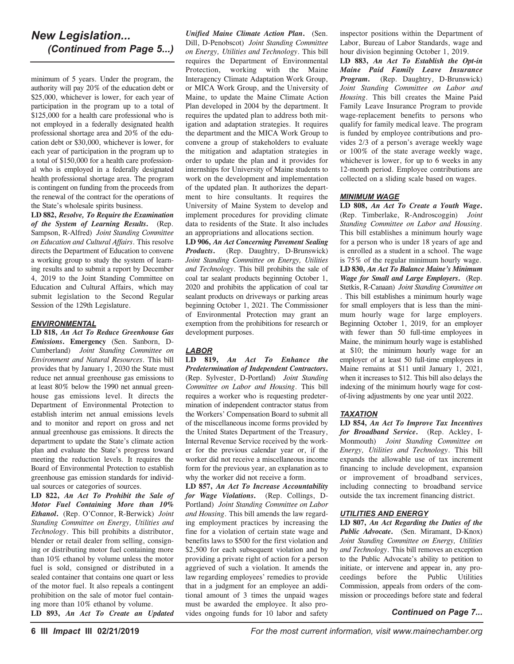## *New Legislation... (Continued from Page 5...)*

minimum of 5 years. Under the program, the authority will pay 20% of the education debt or \$25,000, whichever is lower, for each year of participation in the program up to a total of \$125,000 for a health care professional who is not employed in a federally designated health professional shortage area and 20% of the education debt or \$30,000, whichever is lower, for each year of participation in the program up to a total of \$150,000 for a health care professional who is employed in a federally designated health professional shortage area. The program is contingent on funding from the proceeds from the renewal of the contract for the operations of the State's wholesale spirits business.

**LD 882,** *Resolve, To Require the Examination of the System of Learning Results***.** (Rep. Sampson, R-Alfred) *Joint Standing Committee on Education and Cultural Affairs*. This resolve directs the Department of Education to convene a working group to study the system of learning results and to submit a report by December 4, 2019 to the Joint Standing Committee on Education and Cultural Affairs, which may submit legislation to the Second Regular Session of the 129th Legislature.

## *ENVIRONMENTAL*

**LD 818,** *An Act To Reduce Greenhouse Gas Emissions***. Emergency** (Sen. Sanborn, D-Cumberland) *Joint Standing Committee on Environment and Natural Resources*. This bill provides that by January 1, 2030 the State must reduce net annual greenhouse gas emissions to at least 80% below the 1990 net annual greenhouse gas emissions level. It directs the Department of Environmental Protection to establish interim net annual emissions levels and to monitor and report on gross and net annual greenhouse gas emissions. It directs the department to update the State's climate action plan and evaluate the State's progress toward meeting the reduction levels. It requires the Board of Environmental Protection to establish greenhouse gas emission standards for individual sources or categories of sources.

**LD 822,** *An Act To Prohibit the Sale of Motor Fuel Containing More than 10% Ethanol***.** (Rep. O'Connor, R-Berwick) *Joint Standing Committee on Energy, Utilities and Technology*. This bill prohibits a distributor, blender or retail dealer from selling, consigning or distributing motor fuel containing more than 10% ethanol by volume unless the motor fuel is sold, consigned or distributed in a sealed container that contains one quart or less of the motor fuel. It also repeals a contingent prohibition on the sale of motor fuel containing more than 10% ethanol by volume.

**LD 893,** *An Act To Create an Updated*

*Unified Maine Climate Action Plan***.** (Sen. Dill, D-Penobscot) *Joint Standing Committee on Energy, Utilities and Technology*. This bill requires the Department of Environmental Protection, working with the Maine Interagency Climate Adaptation Work Group, or MICA Work Group, and the University of Maine, to update the Maine Climate Action Plan developed in 2004 by the department. It requires the updated plan to address both mitigation and adaptation strategies. It requires the department and the MICA Work Group to convene a group of stakeholders to evaluate the mitigation and adaptation strategies in order to update the plan and it provides for internships for University of Maine students to work on the development and implementation of the updated plan. It authorizes the department to hire consultants. It requires the University of Maine System to develop and implement procedures for providing climate data to residents of the State. It also includes an appropriations and allocations section.

**LD 906,** *An Act Concerning Pavement Sealing Products***.** (Rep. Daughtry, D-Brunswick) *Joint Standing Committee on Energy, Utilities and Technology*. This bill prohibits the sale of coal tar sealant products beginning October 1, 2020 and prohibits the application of coal tar sealant products on driveways or parking areas beginning October 1, 2021. The Commissioner of Environmental Protection may grant an exemption from the prohibitions for research or development purposes.

## *LABOR*

**LD 819,** *An Act To Enhance the Predetermination of Independent Contractors***.** (Rep. Sylvester, D-Portland) *Joint Standing Committee on Labor and Housing*. This bill requires a worker who is requesting predetermination of independent contractor status from the Workers' Compensation Board to submit all of the miscellaneous income forms provided by the United States Department of the Treasury, Internal Revenue Service received by the worker for the previous calendar year or, if the worker did not receive a miscellaneous income form for the previous year, an explanation as to why the worker did not receive a form.

**LD 857,** *An Act To Increase Accountability for Wage Violations***.** (Rep. Collings, D-Portland) *Joint Standing Committee on Labor and Housing*. This bill amends the law regarding employment practices by increasing the fine for a violation of certain state wage and benefits laws to \$500 for the first violation and \$2,500 for each subsequent violation and by providing a private right of action for a person aggrieved of such a violation. It amends the law regarding employees' remedies to provide that in a judgment for an employee an additional amount of 3 times the unpaid wages must be awarded the employee. It also provides ongoing funds for 10 labor and safety

inspector positions within the Department of Labor, Bureau of Labor Standards, wage and hour division beginning October 1, 2019.

**LD 883,** *An Act To Establish the Opt-in Maine Paid Family Leave Insurance Program***.** (Rep. Daughtry, D-Brunswick) *Joint Standing Committee on Labor and Housing*. This bill creates the Maine Paid Family Leave Insurance Program to provide wage-replacement benefits to persons who qualify for family medical leave. The program is funded by employee contributions and provides 2/3 of a person's average weekly wage or 100% of the state average weekly wage, whichever is lower, for up to 6 weeks in any 12-month period. Employee contributions are collected on a sliding scale based on wages.

### *MINIMUM WAGE*

**LD 808,** *An Act To Create a Youth Wage***.** (Rep. Timberlake, R-Androscoggin) *Joint Standing Committee on Labor and Housing*. This bill establishes a minimum hourly wage for a person who is under 18 years of age and is enrolled as a student in a school. The wage is 75% of the regular minimum hourly wage. **LD 830,** *An Act To Balance Maine's Minimum Wage for Small and Large Employers***.** (Rep.

Stetkis, R-Canaan) *Joint Standing Committee on* . This bill establishes a minimum hourly wage for small employers that is less than the minimum hourly wage for large employers. Beginning October 1, 2019, for an employer with fewer than 50 full-time employees in Maine, the minimum hourly wage is established at \$10; the minimum hourly wage for an employer of at least 50 full-time employees in Maine remains at \$11 until January 1, 2021, when it increases to \$12. This bill also delays the indexing of the minimum hourly wage for costof-living adjustments by one year until 2022.

## *TAXATION*

**LD 854,** *An Act To Improve Tax Incentives for Broadband Service***.** (Rep. Ackley, I-Monmouth) *Joint Standing Committee on Energy, Utilities and Technology*. This bill expands the allowable use of tax increment financing to include development, expansion or improvement of broadband services, including connecting to broadband service outside the tax increment financing district.

## *UTILITIES AND ENERGY*

**LD 807,** *An Act Regarding the Duties of the Public Advocate***.** (Sen. Miramant, D-Knox) *Joint Standing Committee on Energy, Utilities and Technology*. This bill removes an exception to the Public Advocate's ability to petition to initiate, or intervene and appear in, any proceedings before the Public Utilities Commission, appeals from orders of the commission or proceedings before state and federal

## *Continued on Page 7...*

**6 III** *Impact* **III 02/21/2019** *For the most current information, visit www.mainechamber.org*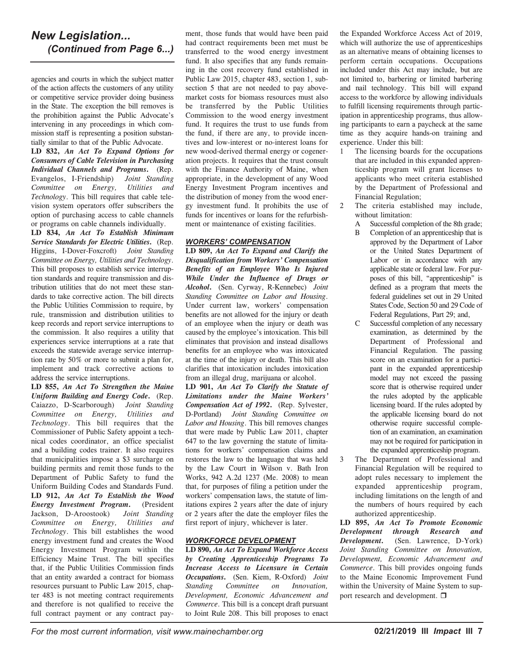## *New Legislation... (Continued from Page 6...)*

agencies and courts in which the subject matter of the action affects the customers of any utility or competitive service provider doing business in the State. The exception the bill removes is the prohibition against the Public Advocate's intervening in any proceedings in which commission staff is representing a position substantially similar to that of the Public Advocate.

**LD 832,** *An Act To Expand Options for Consumers of Cable Television in Purchasing Individual Channels and Programs***.** (Rep. Evangelos, I-Friendship) *Joint Standing Committee on Energy, Utilities and Technology*. This bill requires that cable television system operators offer subscribers the option of purchasing access to cable channels or programs on cable channels individually.

**LD 834,** *An Act To Establish Minimum Service Standards for Electric Utilities***.** (Rep. Higgins, I-Dover-Foxcroft) *Joint Standing Committee on Energy, Utilities and Technology*. This bill proposes to establish service interruption standards and require transmission and distribution utilities that do not meet these standards to take corrective action. The bill directs the Public Utilities Commission to require, by rule, transmission and distribution utilities to keep records and report service interruptions to the commission. It also requires a utility that experiences service interruptions at a rate that exceeds the statewide average service interruption rate by 50% or more to submit a plan for, implement and track corrective actions to address the service interruptions.

**LD 855,** *An Act To Strengthen the Maine Uniform Building and Energy Code***.** (Rep. Caiazzo, D-Scarborough) *Joint Standing Committee on Energy, Utilities and Technology*. This bill requires that the Commissioner of Public Safety appoint a technical codes coordinator, an office specialist and a building codes trainer. It also requires that municipalities impose a \$3 surcharge on building permits and remit those funds to the Department of Public Safety to fund the Uniform Building Codes and Standards Fund. **LD 912,** *An Act To Establish the Wood Energy Investment Program***.** (President Jackson, D-Aroostook) *Joint Standing Committee on Energy, Utilities and Technology*. This bill establishes the wood energy investment fund and creates the Wood Energy Investment Program within the Efficiency Maine Trust. The bill specifies that, if the Public Utilities Commission finds that an entity awarded a contract for biomass resources pursuant to Public Law 2015, chapter 483 is not meeting contract requirements and therefore is not qualified to receive the full contract payment or any contract payment, those funds that would have been paid had contract requirements been met must be transferred to the wood energy investment fund. It also specifies that any funds remaining in the cost recovery fund established in Public Law 2015, chapter 483, section 1, subsection 5 that are not needed to pay abovemarket costs for biomass resources must also be transferred by the Public Utilities Commission to the wood energy investment fund. It requires the trust to use funds from the fund, if there are any, to provide incentives and low-interest or no-interest loans for new wood-derived thermal energy or cogeneration projects. It requires that the trust consult with the Finance Authority of Maine, when appropriate, in the development of any Wood Energy Investment Program incentives and the distribution of money from the wood energy investment fund. It prohibits the use of funds for incentives or loans for the refurbishment or maintenance of existing facilities.

## *WORKERS' COMPENSATION*

**LD 809,** *An Act To Expand and Clarify the Disqualification from Workers' Compensation Benefits of an Employee Who Is Injured While Under the Influence of Drugs or Alcohol***.** (Sen. Cyrway, R-Kennebec) *Joint Standing Committee on Labor and Housing*. Under current law, workers' compensation benefits are not allowed for the injury or death of an employee when the injury or death was caused by the employee's intoxication. This bill eliminates that provision and instead disallows benefits for an employee who was intoxicated at the time of the injury or death. This bill also clarifies that intoxication includes intoxication from an illegal drug, marijuana or alcohol.

**LD 901,** *An Act To Clarify the Statute of Limitations under the Maine Workers' Compensation Act of 1992***.** (Rep. Sylvester, D-Portland) *Joint Standing Committee on Labor and Housing*. This bill removes changes that were made by Public Law 2011, chapter 647 to the law governing the statute of limitations for workers' compensation claims and restores the law to the language that was held by the Law Court in Wilson v. Bath Iron Works, 942 A.2d 1237 (Me. 2008) to mean that, for purposes of filing a petition under the workers' compensation laws, the statute of limitations expires 2 years after the date of injury or 2 years after the date the employer files the first report of injury, whichever is later.

## *WORKFORCE DEVELOPMENT*

**LD 890,** *An Act To Expand Workforce Access by Creating Apprenticeship Programs To Increase Access to Licensure in Certain Occupations***.** (Sen. Kiem, R-Oxford) *Joint Standing Committee on Innovation, Development, Economic Advancement and Commerce*. This bill is a concept draft pursuant to Joint Rule 208. This bill proposes to enact

the Expanded Workforce Access Act of 2019, which will authorize the use of apprenticeships as an alternative means of obtaining licenses to perform certain occupations. Occupations included under this Act may include, but are not limited to, barbering or limited barbering and nail technology. This bill will expand access to the workforce by allowing individuals to fulfill licensing requirements through participation in apprenticeship programs, thus allowing participants to earn a paycheck at the same time as they acquire hands-on training and experience. Under this bill:

- 1 The licensing boards for the occupations that are included in this expanded apprenticeship program will grant licenses to applicants who meet criteria established by the Department of Professional and Financial Regulation;
- 2 The criteria established may include, without limitation:
	- A Successful completion of the 8th grade;
	- B Completion of an apprenticeship that is approved by the Department of Labor or the United States Department of Labor or in accordance with any applicable state or federal law. For purposes of this bill, "apprenticeship" is defined as a program that meets the federal guidelines set out in 29 United States Code, Section 50 and 29 Code of Federal Regulations, Part 29; and,
	- Successful completion of any necessary examination, as determined by the Department of Professional and Financial Regulation. The passing score on an examination for a participant in the expanded apprenticeship model may not exceed the passing score that is otherwise required under the rules adopted by the applicable licensing board. If the rules adopted by the applicable licensing board do not otherwise require successful completion of an examination, an examination may not be required for participation in the expanded apprenticeship program.
- 3 The Department of Professional and Financial Regulation will be required to adopt rules necessary to implement the expanded apprenticeship program, including limitations on the length of and the numbers of hours required by each authorized apprenticeship.

**LD 895,** *An Act To Promote Economic Development through Research and Development***.** (Sen. Lawrence, D-York) *Joint Standing Committee on Innovation, Development, Economic Advancement and Commerce*. This bill provides ongoing funds to the Maine Economic Improvement Fund within the University of Maine System to support research and development.  $\Box$